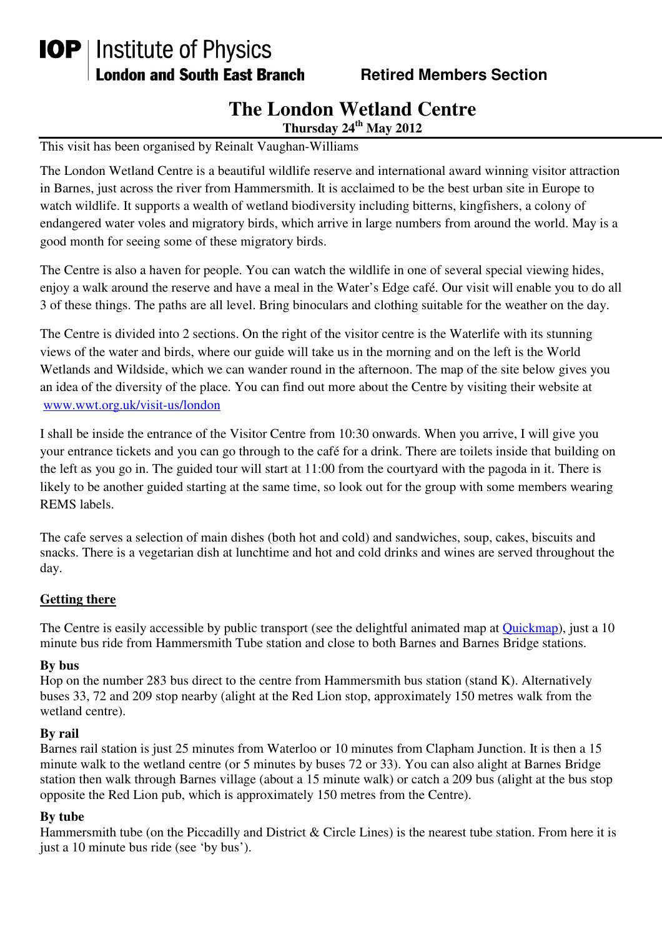# **IOP** | Institute of Physics **London and South East Branch Fig. 8. Retired Members Section**

# **The London Wetland Centre**

**Thursday 24th May 2012** 

This visit has been organised by Reinalt Vaughan-Williams

The London Wetland Centre is a beautiful wildlife reserve and international award winning visitor attraction in Barnes, just across the river from Hammersmith. It is acclaimed to be the best urban site in Europe to watch wildlife. It supports a wealth of wetland biodiversity including bitterns, kingfishers, a colony of endangered water voles and migratory birds, which arrive in large numbers from around the world. May is a good month for seeing some of these migratory birds.

The Centre is also a haven for people. You can watch the wildlife in one of several special viewing hides, enjoy a walk around the reserve and have a meal in the Water's Edge café. Our visit will enable you to do all 3 of these things. The paths are all level. Bring binoculars and clothing suitable for the weather on the day.

The Centre is divided into 2 sections. On the right of the visitor centre is the Waterlife with its stunning views of the water and birds, where our guide will take us in the morning and on the left is the World Wetlands and Wildside, which we can wander round in the afternoon. The map of the site below gives you an idea of the diversity of the place. You can find out more about the Centre by visiting their website at www.wwt.org.uk/visit-us/london

I shall be inside the entrance of the Visitor Centre from 10:30 onwards. When you arrive, I will give you your entrance tickets and you can go through to the café for a drink. There are toilets inside that building on the left as you go in. The guided tour will start at 11:00 from the courtyard with the pagoda in it. There is likely to be another guided starting at the same time, so look out for the group with some members wearing REMS labels.

The cafe serves a selection of main dishes (both hot and cold) and sandwiches, soup, cakes, biscuits and snacks. There is a vegetarian dish at lunchtime and hot and cold drinks and wines are served throughout the day.

#### **Getting there**

The Centre is easily accessible by public transport (see the delightful animated map at Quickmap), just a 10 minute bus ride from Hammersmith Tube station and close to both Barnes and Barnes Bridge stations.

#### **By bus**

Hop on the number 283 bus direct to the centre from Hammersmith bus station (stand K). Alternatively buses 33, 72 and 209 stop nearby (alight at the Red Lion stop, approximately 150 metres walk from the wetland centre).

#### **By rail**

Barnes rail station is just 25 minutes from Waterloo or 10 minutes from Clapham Junction. It is then a 15 minute walk to the wetland centre (or 5 minutes by buses 72 or 33). You can also alight at Barnes Bridge station then walk through Barnes village (about a 15 minute walk) or catch a 209 bus (alight at the bus stop opposite the Red Lion pub, which is approximately 150 metres from the Centre).

# **By tube**

Hammersmith tube (on the Piccadilly and District & Circle Lines) is the nearest tube station. From here it is just a 10 minute bus ride (see 'by bus').